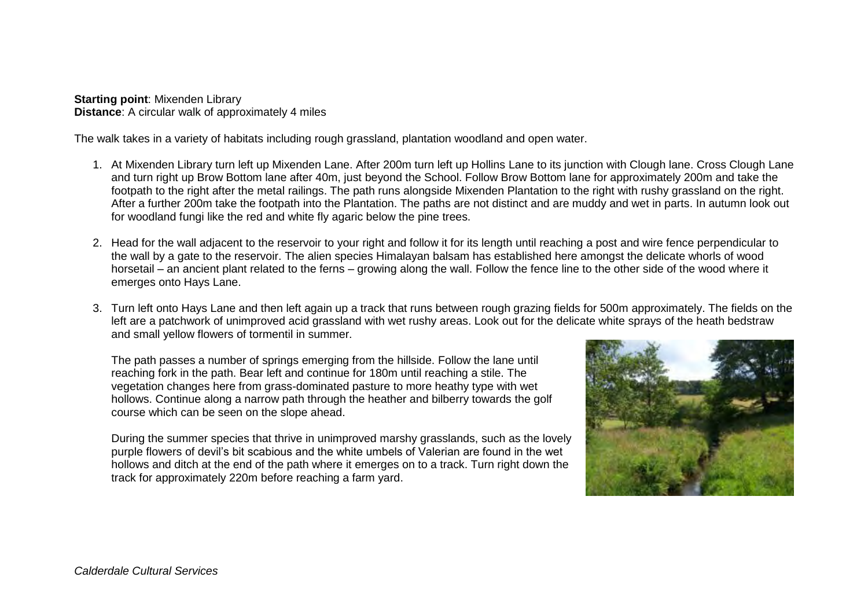**Starting point**: Mixenden Library **Distance**: A circular walk of approximately 4 miles

The walk takes in a variety of habitats including rough grassland, plantation woodland and open water.

- 1. At Mixenden Library turn left up Mixenden Lane. After 200m turn left up Hollins Lane to its junction with Clough lane. Cross Clough Lane and turn right up Brow Bottom lane after 40m, just beyond the School. Follow Brow Bottom lane for approximately 200m and take the footpath to the right after the metal railings. The path runs alongside Mixenden Plantation to the right with rushy grassland on the right. After a further 200m take the footpath into the Plantation. The paths are not distinct and are muddy and wet in parts. In autumn look out for woodland fungi like the red and white fly agaric below the pine trees.
- 2. Head for the wall adjacent to the reservoir to your right and follow it for its length until reaching a post and wire fence perpendicular to the wall by a gate to the reservoir. The alien species Himalayan balsam has established here amongst the delicate whorls of wood horsetail – an ancient plant related to the ferns – growing along the wall. Follow the fence line to the other side of the wood where it emerges onto Hays Lane.
- 3. Turn left onto Hays Lane and then left again up a track that runs between rough grazing fields for 500m approximately. The fields on the left are a patchwork of unimproved acid grassland with wet rushy areas. Look out for the delicate white sprays of the heath bedstraw and small yellow flowers of tormentil in summer.

The path passes a number of springs emerging from the hillside. Follow the lane until reaching fork in the path. Bear left and continue for 180m until reaching a stile. The vegetation changes here from grass-dominated pasture to more heathy type with wet hollows. Continue along a narrow path through the heather and bilberry towards the golf course which can be seen on the slope ahead.

During the summer species that thrive in unimproved marshy grasslands, such as the lovely purple flowers of devil's bit scabious and the white umbels of Valerian are found in the wet hollows and ditch at the end of the path where it emerges on to a track. Turn right down the track for approximately 220m before reaching a farm yard.